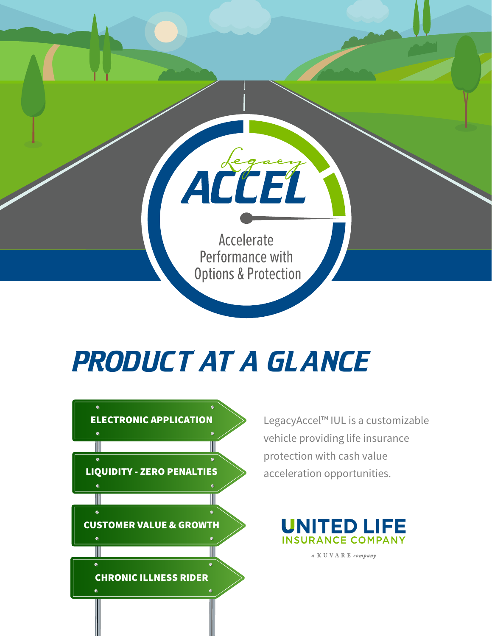

# *PRODUCT AT A GLANCE*



LegacyAccel™ IUL is a customizable vehicle providing life insurance protection with cash value



a KUVARE company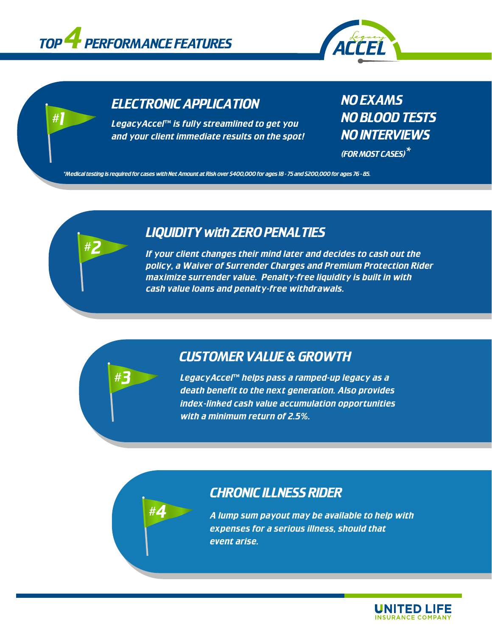

*#1*

*#2*

*#3*

*#4*



# *ELECTRONIC APPLICATION*

**LegacyAcceΓ™ is fully streamlined to get you** *and your client immediate results on the spot!*

# *NO EXAMS NO BLOOD TESTS NO INTERVIEWS*

*(FOR MOST CASES)\**

*\*Medical testing is required for cases with Net Amount at Risk over \$400,000 for ages 18 - 75 and \$200,000 for ages 76 - 85.*

# *LIQUIDITY with ZERO PENALTIES*

*If your client changes their mind later and decides to cash out the policy, a Waiver of Surrender Charges and Premium Protection Rider maximize surrender value. Penalty-free liquidity is built in with cash value loans and penalty-free withdrawals.* 

## *CUSTOMER VALUE & GROWTH*

LegacyAccel™ helps pass a ramped-up legacy as a *death benefit to the next generation. Also provides index-linked cash value accumulation opportunities with a minimum return of 2.5%.* 

## *CHRONIC ILLNESS RIDER*

*A lump sum payout may be available to help with expenses for a serious illness, should that event arise.*

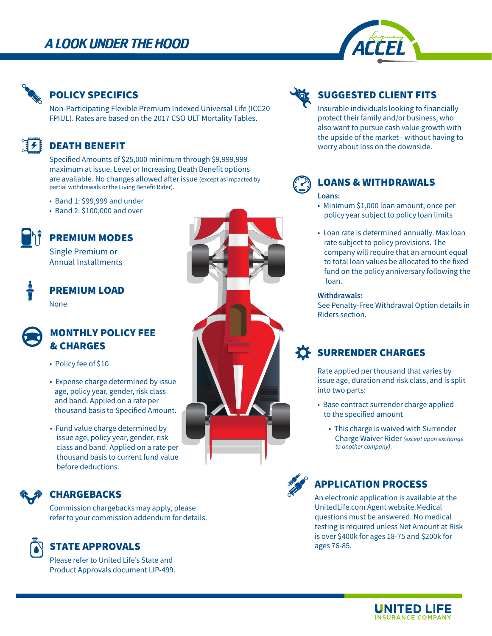# A LOOK UNDER THE HOOD





#### **POLICY SPECIFICS**

Non-Participating Flexible Premium Indexed Universal Life (ICC20 FPIUL). Rates are based on the 2017 CSO ULT Mortality Tables.

## **DEATH BENEFIT**

Specified Amounts of \$25,000 minimum through \$9,999,999 maximum at issue. Level or Increasing Death Benefit options are available. No changes allowed after issue (except as impacted by partial withdrawals or the Living Benefit Rider).

- Band 1: \$99,999 and under
- Band 2: \$100,000 and over

# **PREMIUM MODES**

Single Premium or **Annual Installments** 

## **PREMIUM LOAD None**



## **MONTHLY POLICY FEE** & CHARGES

- Policy fee of \$10
- Expense charge determined by issue age, policy year, gender, risk class and band. Applied on a rate per thousand basis to Specified Amount.
- Fund value charge determined by issue age, policy year, gender, risk class and band. Applied on a rate per thousand basis to current fund value before deductions

## **CHARGEBACKS**

Commission chargebacks may apply, please refer to your commission addendum for details.

## **STATE APPROVALS**

Please refer to United Life's State and Product Approvals document LIP-499.





## **SUGGESTED CLIENT FITS**

Insurable individuals looking to financially protect their family and/or business, who also want to pursue cash value growth with the upside of the market - without having to worry about loss on the downside.



# **LOANS & WITHDRAWALS**

#### Loans:

- Minimum \$1,000 loan amount, once per policy year subject to policy loan limits
- Loan rate is determined annually. Max loan rate subject to policy provisions. The company will require that an amount equal to total loan values be allocated to the fixed fund on the policy anniversary following the loan.

#### Withdrawals:

See Penalty-Free Withdrawal Option details in Riders section.

## **SURRENDER CHARGES**

Rate applied per thousand that varies by issue age, duration and risk class, and is split into two parts:

- Base contract surrender charge applied to the specified amount
	- This charge is waived with Surrender Charge Waiver Rider (except upon exchange to another company).



## **APPLICATION PROCESS**

An electronic application is available at the UnitedLife.com Agent website.Medical questions must be answered. No medical testing is required unless Net Amount at Risk is over \$400k for ages 18-75 and \$200k for ages 76-85.

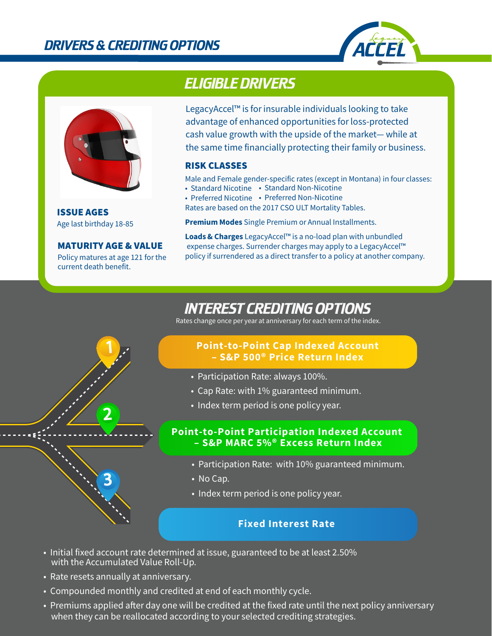



Age last birthday 18-85 **ISSUE AGES** 

**MATURITY AGE & VALUE** 

Policy matures at age 121 for the current death benefit.

1

2

3

# *ELIGIBLE DRIVERS*

LegacyAccel™ is for insurable individuals looking to take advantage of enhanced opportunities for loss-protected cash value growth with the upside of the market-while at the same time financially protecting their family or business.

#### **RISK CLASSES**

Male and Female gender-specific rates (except in Montana) in four classes:

- Standard Nicotine Standard Non-Nicotine
- Preferred Nicotine Preferred Non-Nicotine
- Rates are based on the 2017 CSO ULT Mortality Tables.

Premium Modes Single Premium or Annual Installments.

Loads & Charges LegacyAccel™ is a no-load plan with unbundled expense charges. Surrender charges may apply to a LegacyAccel™ policy if surrendered as a direct transfer to a policy at another company.

# *INTEREST CREDITING OPTIONS*

Rates change once per year at anniversary for each term of the index.

#### **Point-to-Point Cap Indexed Account** - S&P 500<sup>®</sup> Price Return Index

- Participation Rate: always 100%.
- Cap Rate: with 1% guaranteed minimum.
- Index term period is one policy year.

#### **Point-to-Point Participation Indexed Account** – S&P MARC 5%® Excess Return Index

- Participation Rate: with 10% guaranteed minimum.
- $\bullet$  No Cap.
- Index term period is one policy year.

#### **Fixed Interest Rate**

- Initial fixed account rate determined at issue, guaranteed to be at least 2.50%  $\,$ with the Accumulated Value Roll-Up.
- Rate resets annually at anniversary.
- Compounded monthly and credited at end of each monthly cycle.
- $\bullet\,$  Premiums applied after day one will be credited at the fixed rate until the next policy anniversary when they can be reallocated according to your selected crediting strategies.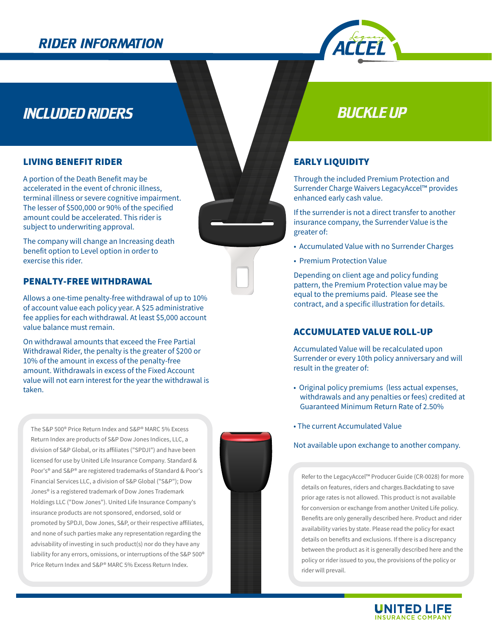# **RIDER INFORMATION**



# **INCLUDED RIDERS**

#### **LIVING BENEFIT RIDER**

A portion of the Death Benefit may be accelerated in the event of chronic illness. terminal illness or severe cognitive impairment. The lesser of \$500,000 or 90% of the specified amount could be accelerated. This rider is subject to underwriting approval.

The company will change an Increasing death benefit option to Level option in order to exercise this rider.

#### **PENALTY-FREE WITHDRAWAL**

Allows a one-time penalty-free withdrawal of up to 10% of account value each policy year. A \$25 administrative fee applies for each withdrawal. At least \$5,000 account value balance must remain.

On withdrawal amounts that exceed the Free Partial Withdrawal Rider, the penalty is the greater of \$200 or 10% of the amount in excess of the penalty-free amount. Withdrawals in excess of the Fixed Account value will not earn interest for the year the withdrawal is taken.

The S&P 500<sup>®</sup> Price Return Index and S&P® MARC 5% Excess Return Index are products of S&P Dow Jones Indices, LLC, a division of S&P Global, or its affiliates ("SPDJI") and have been licensed for use by United Life Insurance Company. Standard & Poor's<sup>®</sup> and S&P® are registered trademarks of Standard & Poor's Financial Services LLC, a division of S&P Global ("S&P"); Dow Jones® is a registered trademark of Dow Jones Trademark Holdings LLC ("Dow Jones"). United Life Insurance Company's insurance products are not sponsored, endorsed, sold or promoted by SPDJI, Dow Jones, S&P, or their respective affiliates, and none of such parties make any representation regarding the advisability of investing in such product(s) nor do they have any liability for any errors, omissions, or interruptions of the S&P 500<sup>®</sup> Price Return Index and S&P® MARC 5% Excess Return Index.



# **BUCKLE UP**

#### **EARLY LIQUIDITY**

Through the included Premium Protection and Surrender Charge Waivers LegacyAccel™ provides enhanced early cash value.

If the surrender is not a direct transfer to another insurance company, the Surrender Value is the greater of:

- Accumulated Value with no Surrender Charges
- Premium Protection Value

Depending on client age and policy funding pattern, the Premium Protection value may be equal to the premiums paid. Please see the contract, and a specific illustration for details.

#### **ACCUMULATED VALUE ROLL-UP**

Accumulated Value will be recalculated upon Surrender or every 10th policy anniversary and will result in the greater of:

- Original policy premiums (less actual expenses, withdrawals and any penalties or fees) credited at Guaranteed Minimum Return Rate of 2.50%
- The current Accumulated Value

#### Not available upon exchange to another company.

Refer to the LegacyAccel™ Producer Guide (CR-0028) for more details on features, riders and charges. Backdating to save prior age rates is not allowed. This product is not available for conversion or exchange from another United Life policy. Benefits are only generally described here. Product and rider availability varies by state. Please read the policy for exact details on benefits and exclusions. If there is a discrepancy between the product as it is generally described here and the policy or rider issued to you, the provisions of the policy or rider will prevail.